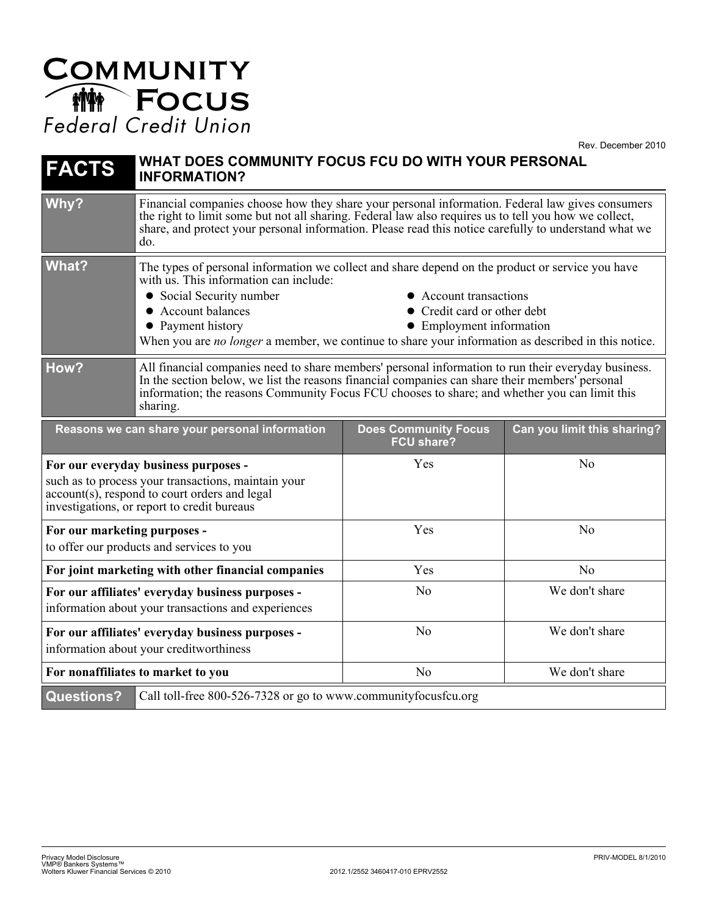## **COMMUNITY**<br> **MANITY**<br>
Focus<br>
Federal Credit Union

Rev. December 2010

| <b>FACTS</b>                                                                                                                                                                                | WHAT DOES COMMUNITY FOCUS FCU DO WITH YOUR PERSONAL<br><b>INFORMATION?</b>                                                                                                                                                                                                                                                                                                                                           |                                                  |                             |
|---------------------------------------------------------------------------------------------------------------------------------------------------------------------------------------------|----------------------------------------------------------------------------------------------------------------------------------------------------------------------------------------------------------------------------------------------------------------------------------------------------------------------------------------------------------------------------------------------------------------------|--------------------------------------------------|-----------------------------|
| Why?                                                                                                                                                                                        | Financial companies choose how they share your personal information. Federal law gives consumers<br>the right to limit some but not all sharing. Federal law also requires us to tell you how we collect,<br>share, and protect your personal information. Please read this notice carefully to understand what we<br>do.                                                                                            |                                                  |                             |
| <b>What?</b>                                                                                                                                                                                | The types of personal information we collect and share depend on the product or service you have<br>with us. This information can include:<br>• Social Security number<br>• Account transactions<br>• Account balances<br>• Credit card or other debt<br>• Payment history<br>• Employment information<br>When you are <i>no longer</i> a member, we continue to share your information as described in this notice. |                                                  |                             |
| How?                                                                                                                                                                                        | All financial companies need to share members' personal information to run their everyday business.<br>In the section below, we list the reasons financial companies can share their members' personal<br>information; the reasons Community Focus FCU chooses to share; and whether you can limit this<br>sharing.                                                                                                  |                                                  |                             |
| Reasons we can share your personal information                                                                                                                                              |                                                                                                                                                                                                                                                                                                                                                                                                                      | <b>Does Community Focus</b><br><b>FCU share?</b> | Can you limit this sharing? |
| For our everyday business purposes -<br>such as to process your transactions, maintain your<br>account(s), respond to court orders and legal<br>investigations, or report to credit bureaus |                                                                                                                                                                                                                                                                                                                                                                                                                      | Yes                                              | N <sub>0</sub>              |
| For our marketing purposes -<br>to offer our products and services to you                                                                                                                   |                                                                                                                                                                                                                                                                                                                                                                                                                      | Yes                                              | No                          |
| For joint marketing with other financial companies                                                                                                                                          |                                                                                                                                                                                                                                                                                                                                                                                                                      | Yes                                              | N <sub>o</sub>              |
| For our affiliates' everyday business purposes -<br>information about your transactions and experiences                                                                                     |                                                                                                                                                                                                                                                                                                                                                                                                                      | N <sub>o</sub>                                   | We don't share              |
| For our affiliates' everyday business purposes -<br>information about your creditworthiness                                                                                                 |                                                                                                                                                                                                                                                                                                                                                                                                                      | No                                               | We don't share              |
| For nonaffiliates to market to you                                                                                                                                                          |                                                                                                                                                                                                                                                                                                                                                                                                                      | N <sub>o</sub>                                   | We don't share              |
| <b>Questions?</b>                                                                                                                                                                           | Call toll-free 800-526-7328 or go to www.communityfocusfcu.org                                                                                                                                                                                                                                                                                                                                                       |                                                  |                             |